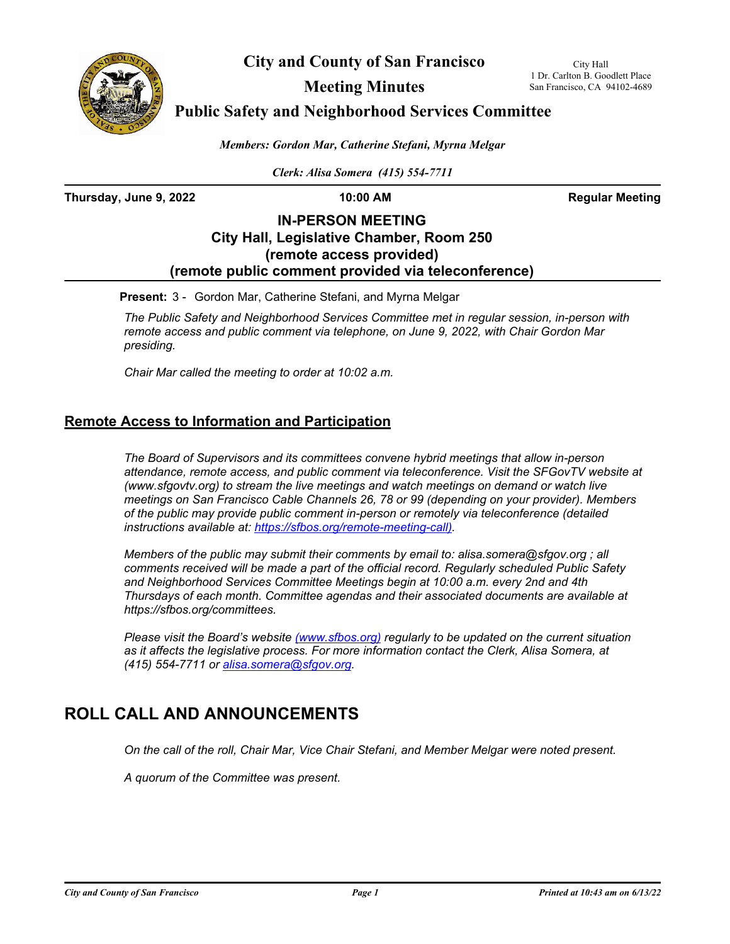

**City and County of San Francisco**

City Hall 1 Dr. Carlton B. Goodlett Place San Francisco, CA 94102-4689

**Meeting Minutes**

**Public Safety and Neighborhood Services Committee**

*Members: Gordon Mar, Catherine Stefani, Myrna Melgar*

*Clerk: Alisa Somera (415) 554-7711*

**Thursday, June 9, 2022 10:00 AM Regular Meeting**

### **IN-PERSON MEETING City Hall, Legislative Chamber, Room 250 (remote access provided) (remote public comment provided via teleconference)**

**Present:** 3 - Gordon Mar, Catherine Stefani, and Myrna Melgar

*The Public Safety and Neighborhood Services Committee met in regular session, in-person with remote access and public comment via telephone, on June 9, 2022, with Chair Gordon Mar presiding.* 

*Chair Mar called the meeting to order at 10:02 a.m.*

### **Remote Access to Information and Participation**

*The Board of Supervisors and its committees convene hybrid meetings that allow in-person attendance, remote access, and public comment via teleconference. Visit the SFGovTV website at (www.sfgovtv.org) to stream the live meetings and watch meetings on demand or watch live meetings on San Francisco Cable Channels 26, 78 or 99 (depending on your provider). Members of the public may provide public comment in-person or remotely via teleconference (detailed instructions available at: [https://sfbos.org/remote-meeting-call\).](https://sfbos.org/remote-meeting-call)* 

*Members of the public may submit their comments by email to: alisa.somera@sfgov.org ; all comments received will be made a part of the official record. Regularly scheduled Public Safety and Neighborhood Services Committee Meetings begin at 10:00 a.m. every 2nd and 4th Thursdays of each month. Committee agendas and their associated documents are available at https://sfbos.org/committees.*

*Please visit the Board's website (<www.sfbos.org>) regularly to be updated on the current situation as it affects the legislative process. For more information contact the Clerk, Alisa Somera, at (415) 554-7711 or [alisa.somera@sfgov.org.](mailto:alisa.somera@sfgov.org.)*

# **ROLL CALL AND ANNOUNCEMENTS**

*On the call of the roll, Chair Mar, Vice Chair Stefani, and Member Melgar were noted present.*

*A quorum of the Committee was present.*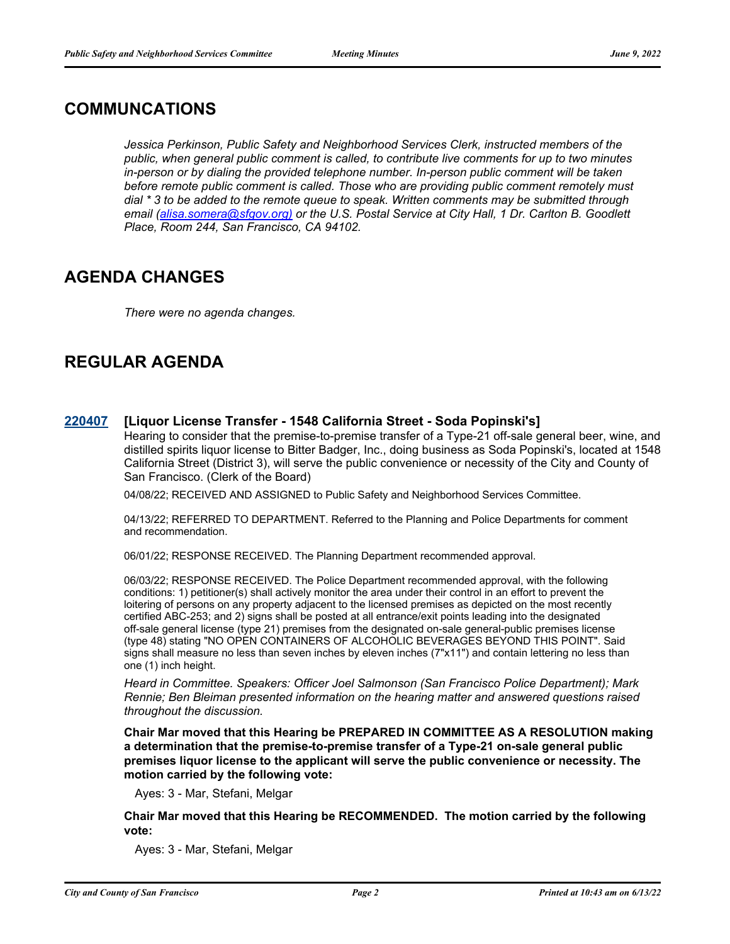## **COMMUNCATIONS**

*Jessica Perkinson, Public Safety and Neighborhood Services Clerk, instructed members of the public, when general public comment is called, to contribute live comments for up to two minutes in-person or by dialing the provided telephone number. In-person public comment will be taken before remote public comment is called. Those who are providing public comment remotely must dial \* 3 to be added to the remote queue to speak. Written comments may be submitted through email [\(alisa.somera@sfgov.org\)](mailto:alisa.somera@sfgov.org) or the U.S. Postal Service at City Hall, 1 Dr. Carlton B. Goodlett Place, Room 244, San Francisco, CA 94102.*

## **AGENDA CHANGES**

*There were no agenda changes.*

## **REGULAR AGENDA**

#### **[220407](http://sfgov.legistar.com/gateway.aspx?m=l&id=38599) [Liquor License Transfer - 1548 California Street - Soda Popinski's]**

Hearing to consider that the premise-to-premise transfer of a Type-21 off-sale general beer, wine, and distilled spirits liquor license to Bitter Badger, Inc., doing business as Soda Popinski's, located at 1548 California Street (District 3), will serve the public convenience or necessity of the City and County of San Francisco. (Clerk of the Board)

04/08/22; RECEIVED AND ASSIGNED to Public Safety and Neighborhood Services Committee.

04/13/22; REFERRED TO DEPARTMENT. Referred to the Planning and Police Departments for comment and recommendation.

06/01/22; RESPONSE RECEIVED. The Planning Department recommended approval.

06/03/22; RESPONSE RECEIVED. The Police Department recommended approval, with the following conditions: 1) petitioner(s) shall actively monitor the area under their control in an effort to prevent the loitering of persons on any property adjacent to the licensed premises as depicted on the most recently certified ABC-253; and 2) signs shall be posted at all entrance/exit points leading into the designated off-sale general license (type 21) premises from the designated on-sale general-public premises license (type 48) stating "NO OPEN CONTAINERS OF ALCOHOLIC BEVERAGES BEYOND THIS POINT". Said signs shall measure no less than seven inches by eleven inches (7"x11") and contain lettering no less than one (1) inch height.

*Heard in Committee. Speakers: Officer Joel Salmonson (San Francisco Police Department); Mark Rennie; Ben Bleiman presented information on the hearing matter and answered questions raised throughout the discussion.*

**Chair Mar moved that this Hearing be PREPARED IN COMMITTEE AS A RESOLUTION making a determination that the premise-to-premise transfer of a Type-21 on-sale general public premises liquor license to the applicant will serve the public convenience or necessity. The motion carried by the following vote:**

Ayes: 3 - Mar, Stefani, Melgar

**Chair Mar moved that this Hearing be RECOMMENDED. The motion carried by the following vote:**

Ayes: 3 - Mar, Stefani, Melgar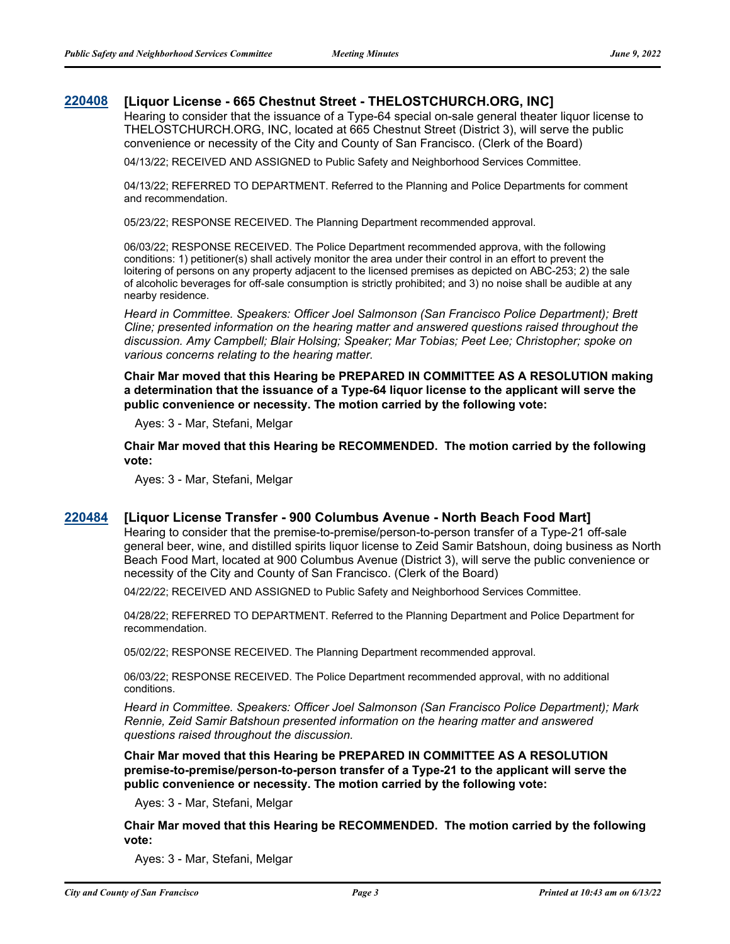#### **[220408](http://sfgov.legistar.com/gateway.aspx?m=l&id=38600) [Liquor License - 665 Chestnut Street - THELOSTCHURCH.ORG, INC]**

Hearing to consider that the issuance of a Type-64 special on-sale general theater liquor license to THELOSTCHURCH.ORG, INC, located at 665 Chestnut Street (District 3), will serve the public convenience or necessity of the City and County of San Francisco. (Clerk of the Board)

04/13/22; RECEIVED AND ASSIGNED to Public Safety and Neighborhood Services Committee.

04/13/22; REFERRED TO DEPARTMENT. Referred to the Planning and Police Departments for comment and recommendation.

05/23/22; RESPONSE RECEIVED. The Planning Department recommended approval.

06/03/22; RESPONSE RECEIVED. The Police Department recommended approva, with the following conditions: 1) petitioner(s) shall actively monitor the area under their control in an effort to prevent the loitering of persons on any property adjacent to the licensed premises as depicted on ABC-253; 2) the sale of alcoholic beverages for off-sale consumption is strictly prohibited; and 3) no noise shall be audible at any nearby residence.

*Heard in Committee. Speakers: Officer Joel Salmonson (San Francisco Police Department); Brett Cline; presented information on the hearing matter and answered questions raised throughout the discussion. Amy Campbell; Blair Holsing; Speaker; Mar Tobias; Peet Lee; Christopher; spoke on various concerns relating to the hearing matter.*

**Chair Mar moved that this Hearing be PREPARED IN COMMITTEE AS A RESOLUTION making a determination that the issuance of a Type-64 liquor license to the applicant will serve the public convenience or necessity. The motion carried by the following vote:**

Ayes: 3 - Mar, Stefani, Melgar

**Chair Mar moved that this Hearing be RECOMMENDED. The motion carried by the following vote:**

Ayes: 3 - Mar, Stefani, Melgar

#### **[220484](http://sfgov.legistar.com/gateway.aspx?m=l&id=38676) [Liquor License Transfer - 900 Columbus Avenue - North Beach Food Mart]**

Hearing to consider that the premise-to-premise/person-to-person transfer of a Type-21 off-sale general beer, wine, and distilled spirits liquor license to Zeid Samir Batshoun, doing business as North Beach Food Mart, located at 900 Columbus Avenue (District 3), will serve the public convenience or necessity of the City and County of San Francisco. (Clerk of the Board)

04/22/22; RECEIVED AND ASSIGNED to Public Safety and Neighborhood Services Committee.

04/28/22; REFERRED TO DEPARTMENT. Referred to the Planning Department and Police Department for recommendation.

05/02/22; RESPONSE RECEIVED. The Planning Department recommended approval.

06/03/22; RESPONSE RECEIVED. The Police Department recommended approval, with no additional conditions.

*Heard in Committee. Speakers: Officer Joel Salmonson (San Francisco Police Department); Mark Rennie, Zeid Samir Batshoun presented information on the hearing matter and answered questions raised throughout the discussion.*

**Chair Mar moved that this Hearing be PREPARED IN COMMITTEE AS A RESOLUTION premise-to-premise/person-to-person transfer of a Type-21 to the applicant will serve the public convenience or necessity. The motion carried by the following vote:**

Ayes: 3 - Mar, Stefani, Melgar

**Chair Mar moved that this Hearing be RECOMMENDED. The motion carried by the following vote:**

Ayes: 3 - Mar, Stefani, Melgar